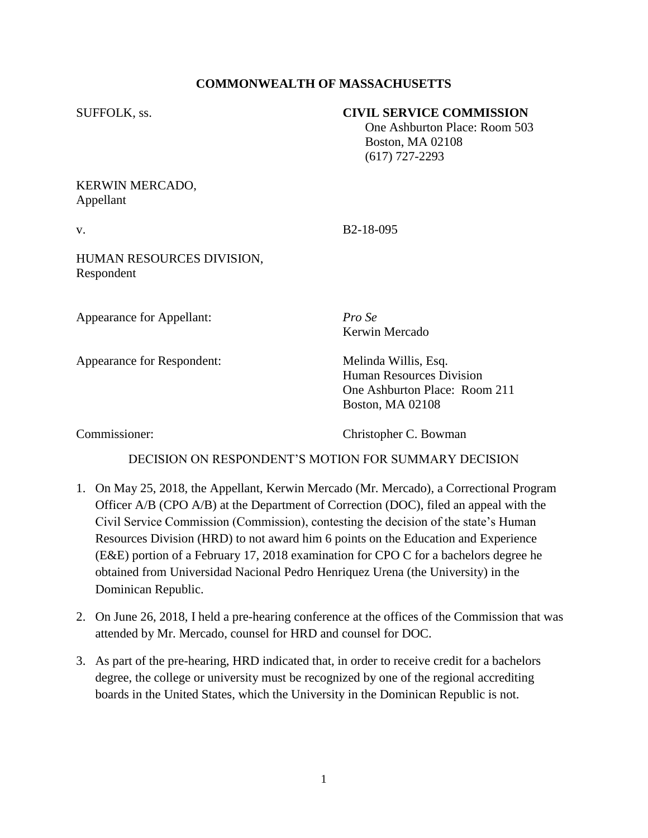# **COMMONWEALTH OF MASSACHUSETTS**

## SUFFOLK, ss. **CIVIL SERVICE COMMISSION**

 One Ashburton Place: Room 503 Boston, MA 02108 (617) 727-2293

## KERWIN MERCADO, Appellant

v. B2-18-095

## HUMAN RESOURCES DIVISION, Respondent

Appearance for Appellant: *Pro Se*

Appearance for Respondent: Melinda Willis, Esq.

Kerwin Mercado

Human Resources Division One Ashburton Place: Room 211 Boston, MA 02108

Commissioner: Christopher C. Bowman

# DECISION ON RESPONDENT'S MOTION FOR SUMMARY DECISION

- 1. On May 25, 2018, the Appellant, Kerwin Mercado (Mr. Mercado), a Correctional Program Officer A/B (CPO A/B) at the Department of Correction (DOC), filed an appeal with the Civil Service Commission (Commission), contesting the decision of the state's Human Resources Division (HRD) to not award him 6 points on the Education and Experience (E&E) portion of a February 17, 2018 examination for CPO C for a bachelors degree he obtained from Universidad Nacional Pedro Henriquez Urena (the University) in the Dominican Republic.
- 2. On June 26, 2018, I held a pre-hearing conference at the offices of the Commission that was attended by Mr. Mercado, counsel for HRD and counsel for DOC.
- 3. As part of the pre-hearing, HRD indicated that, in order to receive credit for a bachelors degree, the college or university must be recognized by one of the regional accrediting boards in the United States, which the University in the Dominican Republic is not.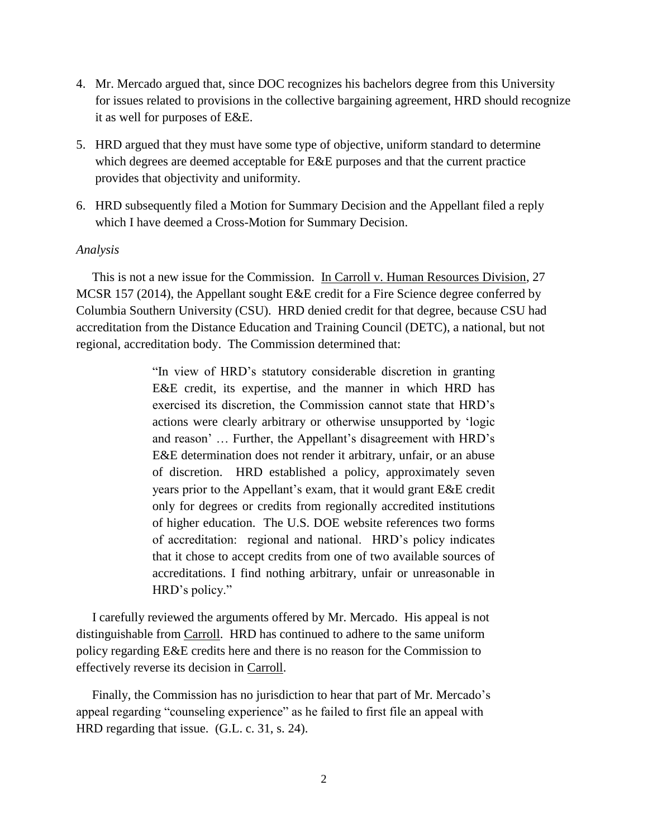- 4. Mr. Mercado argued that, since DOC recognizes his bachelors degree from this University for issues related to provisions in the collective bargaining agreement, HRD should recognize it as well for purposes of E&E.
- 5. HRD argued that they must have some type of objective, uniform standard to determine which degrees are deemed acceptable for E&E purposes and that the current practice provides that objectivity and uniformity.
- 6. HRD subsequently filed a Motion for Summary Decision and the Appellant filed a reply which I have deemed a Cross-Motion for Summary Decision.

#### *Analysis*

 This is not a new issue for the Commission. In Carroll v. Human Resources Division, 27 MCSR 157 (2014), the Appellant sought E&E credit for a Fire Science degree conferred by Columbia Southern University (CSU). HRD denied credit for that degree, because CSU had accreditation from the Distance Education and Training Council (DETC), a national, but not regional, accreditation body. The Commission determined that:

> "In view of HRD's statutory considerable discretion in granting E&E credit, its expertise, and the manner in which HRD has exercised its discretion, the Commission cannot state that HRD's actions were clearly arbitrary or otherwise unsupported by 'logic and reason' … Further, the Appellant's disagreement with HRD's E&E determination does not render it arbitrary, unfair, or an abuse of discretion. HRD established a policy, approximately seven years prior to the Appellant's exam, that it would grant E&E credit only for degrees or credits from regionally accredited institutions of higher education. The U.S. DOE website references two forms of accreditation: regional and national. HRD's policy indicates that it chose to accept credits from one of two available sources of accreditations. I find nothing arbitrary, unfair or unreasonable in HRD's policy."

 I carefully reviewed the arguments offered by Mr. Mercado. His appeal is not distinguishable from Carroll. HRD has continued to adhere to the same uniform policy regarding E&E credits here and there is no reason for the Commission to effectively reverse its decision in Carroll.

 Finally, the Commission has no jurisdiction to hear that part of Mr. Mercado's appeal regarding "counseling experience" as he failed to first file an appeal with HRD regarding that issue. (G.L. c. 31, s. 24).